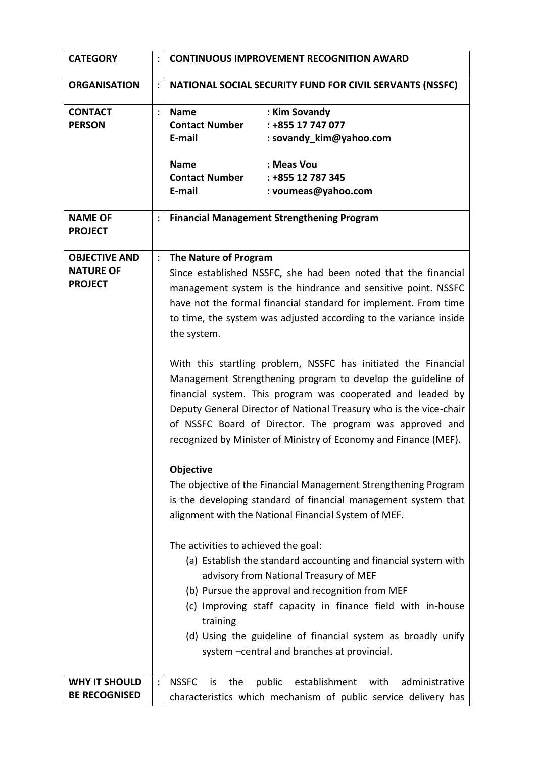| <b>CATEGORY</b>                                            |                | <b>CONTINUOUS IMPROVEMENT RECOGNITION AWARD</b>                                                                                                                                                                                                                                                                                                                                                                                                                                                                                                                                                                                                                                                                                                                                                                                                                                                                                                                                                                                                                                                                                                                                                                                                                                                                                      |                                                                                                                         |
|------------------------------------------------------------|----------------|--------------------------------------------------------------------------------------------------------------------------------------------------------------------------------------------------------------------------------------------------------------------------------------------------------------------------------------------------------------------------------------------------------------------------------------------------------------------------------------------------------------------------------------------------------------------------------------------------------------------------------------------------------------------------------------------------------------------------------------------------------------------------------------------------------------------------------------------------------------------------------------------------------------------------------------------------------------------------------------------------------------------------------------------------------------------------------------------------------------------------------------------------------------------------------------------------------------------------------------------------------------------------------------------------------------------------------------|-------------------------------------------------------------------------------------------------------------------------|
| <b>ORGANISATION</b>                                        |                | NATIONAL SOCIAL SECURITY FUND FOR CIVIL SERVANTS (NSSFC)                                                                                                                                                                                                                                                                                                                                                                                                                                                                                                                                                                                                                                                                                                                                                                                                                                                                                                                                                                                                                                                                                                                                                                                                                                                                             |                                                                                                                         |
| <b>CONTACT</b><br><b>PERSON</b>                            | $\ddot{\cdot}$ | <b>Name</b><br><b>Contact Number</b><br>E-mail<br><b>Name</b><br><b>Contact Number</b><br>E-mail                                                                                                                                                                                                                                                                                                                                                                                                                                                                                                                                                                                                                                                                                                                                                                                                                                                                                                                                                                                                                                                                                                                                                                                                                                     | : Kim Sovandy<br>: +855 17 747 077<br>: sovandy_kim@yahoo.com<br>: Meas Vou<br>: +855 12 787 345<br>: voumeas@yahoo.com |
| <b>NAME OF</b><br><b>PROJECT</b>                           |                | <b>Financial Management Strengthening Program</b>                                                                                                                                                                                                                                                                                                                                                                                                                                                                                                                                                                                                                                                                                                                                                                                                                                                                                                                                                                                                                                                                                                                                                                                                                                                                                    |                                                                                                                         |
| <b>OBJECTIVE AND</b><br><b>NATURE OF</b><br><b>PROJECT</b> |                | The Nature of Program<br>Since established NSSFC, she had been noted that the financial<br>management system is the hindrance and sensitive point. NSSFC<br>have not the formal financial standard for implement. From time<br>to time, the system was adjusted according to the variance inside<br>the system.<br>With this startling problem, NSSFC has initiated the Financial<br>Management Strengthening program to develop the guideline of<br>financial system. This program was cooperated and leaded by<br>Deputy General Director of National Treasury who is the vice-chair<br>of NSSFC Board of Director. The program was approved and<br>recognized by Minister of Ministry of Economy and Finance (MEF).<br>Objective<br>The objective of the Financial Management Strengthening Program<br>is the developing standard of financial management system that<br>alignment with the National Financial System of MEF.<br>The activities to achieved the goal:<br>(a) Establish the standard accounting and financial system with<br>advisory from National Treasury of MEF<br>(b) Pursue the approval and recognition from MEF<br>(c) Improving staff capacity in finance field with in-house<br>training<br>(d) Using the guideline of financial system as broadly unify<br>system - central and branches at provincial. |                                                                                                                         |
| <b>WHY IT SHOULD</b><br><b>BE RECOGNISED</b>               |                | <b>NSSFC</b><br>public<br>is<br>the                                                                                                                                                                                                                                                                                                                                                                                                                                                                                                                                                                                                                                                                                                                                                                                                                                                                                                                                                                                                                                                                                                                                                                                                                                                                                                  | establishment with<br>administrative<br>characteristics which mechanism of public service delivery has                  |